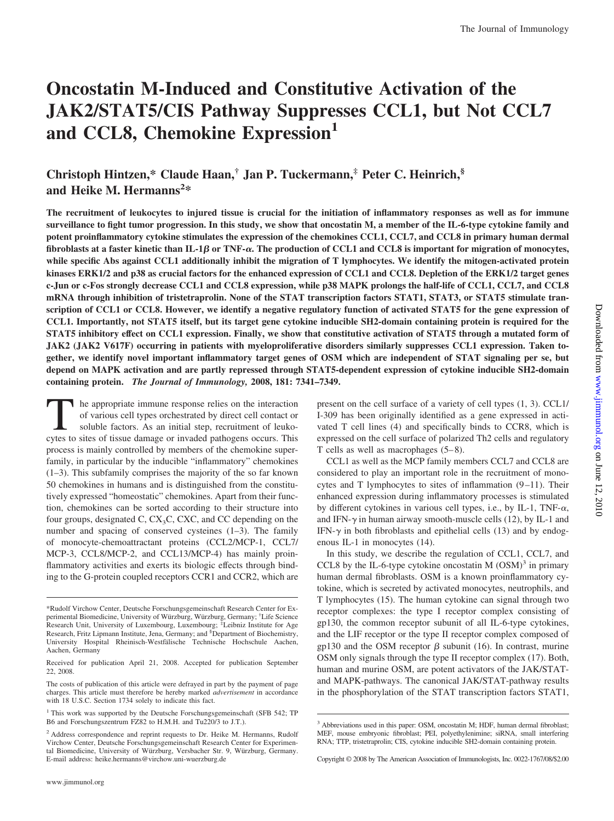# **Oncostatin M-Induced and Constitutive Activation of the JAK2/STAT5/CIS Pathway Suppresses CCL1, but Not CCL7 and CCL8, Chemokine Expression<sup>1</sup>**

# **Christoph Hintzen,\* Claude Haan,† Jan P. Tuckermann,‡ Peter C. Heinrich,§ and Heike M. Hermanns2 \***

**The recruitment of leukocytes to injured tissue is crucial for the initiation of inflammatory responses as well as for immune surveillance to fight tumor progression. In this study, we show that oncostatin M, a member of the IL-6-type cytokine family and potent proinflammatory cytokine stimulates the expression of the chemokines CCL1, CCL7, and CCL8 in primary human dermal fibroblasts at a faster kinetic than IL-1 or TNF-**-**. The production of CCL1 and CCL8 is important for migration of monocytes, while specific Abs against CCL1 additionally inhibit the migration of T lymphocytes. We identify the mitogen-activated protein kinases ERK1/2 and p38 as crucial factors for the enhanced expression of CCL1 and CCL8. Depletion of the ERK1/2 target genes c-Jun or c-Fos strongly decrease CCL1 and CCL8 expression, while p38 MAPK prolongs the half-life of CCL1, CCL7, and CCL8 mRNA through inhibition of tristetraprolin. None of the STAT transcription factors STAT1, STAT3, or STAT5 stimulate transcription of CCL1 or CCL8. However, we identify a negative regulatory function of activated STAT5 for the gene expression of CCL1. Importantly, not STAT5 itself, but its target gene cytokine inducible SH2-domain containing protein is required for the STAT5 inhibitory effect on CCL1 expression. Finally, we show that constitutive activation of STAT5 through a mutated form of JAK2 (JAK2 V617F) occurring in patients with myeloproliferative disorders similarly suppresses CCL1 expression. Taken together, we identify novel important inflammatory target genes of OSM which are independent of STAT signaling per se, but depend on MAPK activation and are partly repressed through STAT5-dependent expression of cytokine inducible SH2-domain containing protein.** *The Journal of Immunology,* **2008, 181: 7341–7349.**

The appropriate immune response relies on the interaction of various cell types orchestrated by direct cell contact or soluble factors. As an initial step, recruitment of leukocytes to sites of tissue damage or invaded pathogens occurs. This process is mainly controlled by members of the chemokine superfamily, in particular by the inducible "inflammatory" chemokines (1–3). This subfamily comprises the majority of the so far known 50 chemokines in humans and is distinguished from the constitutively expressed "homeostatic" chemokines. Apart from their function, chemokines can be sorted according to their structure into four groups, designated C,  $CX<sub>3</sub>C$ , CXC, and CC depending on the number and spacing of conserved cysteines (1–3). The family of monocyte-chemoattractant proteins (CCL2/MCP-1, CCL7/ MCP-3, CCL8/MCP-2, and CCL13/MCP-4) has mainly proinflammatory activities and exerts its biologic effects through binding to the G-protein coupled receptors CCR1 and CCR2, which are

present on the cell surface of a variety of cell types (1, 3). CCL1/ I-309 has been originally identified as a gene expressed in activated T cell lines (4) and specifically binds to CCR8, which is expressed on the cell surface of polarized Th2 cells and regulatory T cells as well as macrophages (5–8).

CCL1 as well as the MCP family members CCL7 and CCL8 are considered to play an important role in the recruitment of monocytes and T lymphocytes to sites of inflammation (9–11). Their enhanced expression during inflammatory processes is stimulated by different cytokines in various cell types, i.e., by IL-1, TNF- $\alpha$ , and IFN- $\gamma$  in human airway smooth-muscle cells (12), by IL-1 and IFN- $\gamma$  in both fibroblasts and epithelial cells (13) and by endogenous IL-1 in monocytes (14).

In this study, we describe the regulation of CCL1, CCL7, and CCL8 by the IL-6-type cytokine oncostatin M  $(OSM)^3$  in primary human dermal fibroblasts. OSM is a known proinflammatory cytokine, which is secreted by activated monocytes, neutrophils, and T lymphocytes (15). The human cytokine can signal through two receptor complexes: the type I receptor complex consisting of gp130, the common receptor subunit of all IL-6-type cytokines, and the LIF receptor or the type II receptor complex composed of gp130 and the OSM receptor  $\beta$  subunit (16). In contrast, murine OSM only signals through the type II receptor complex (17). Both, human and murine OSM, are potent activators of the JAK/STATand MAPK-pathways. The canonical JAK/STAT-pathway results in the phosphorylation of the STAT transcription factors STAT1,

<sup>\*</sup>Rudolf Virchow Center, Deutsche Forschungsgemeinschaft Research Center for Experimental Biomedicine, University of Würzburg, Würzburg, Germany; <sup>†</sup>Life Science Research Unit, University of Luxembourg, Luxembourg; <sup>#</sup>Leibniz Institute for Age Research, Fritz Lipmann Institute, Jena, Germany; and <sup>§</sup>Department of Biochemistry, University Hospital Rheinisch-Westfälische Technische Hochschule Aachen, Aachen, Germany

Received for publication April 21, 2008. Accepted for publication September 22, 2008.

The costs of publication of this article were defrayed in part by the payment of page charges. This article must therefore be hereby marked *advertisement* in accordance with 18 U.S.C. Section 1734 solely to indicate this fact.

<sup>&</sup>lt;sup>1</sup> This work was supported by the Deutsche Forschungsgemeinschaft (SFB 542; TP B6 and Forschungszentrum FZ82 to H.M.H. and Tu220/3 to J.T.).

<sup>&</sup>lt;sup>2</sup> Address correspondence and reprint requests to Dr. Heike M. Hermanns, Rudolf Virchow Center, Deutsche Forschungsgemeinschaft Research Center for Experimental Biomedicine, University of Wu¨rzburg, Versbacher Str. 9, Wu¨rzburg, Germany. E-mail address: heike.hermanns@virchow.uni-wuerzburg.de

<sup>&</sup>lt;sup>3</sup> Abbreviations used in this paper: OSM, oncostatin M; HDF, human dermal fibroblast; MEF, mouse embryonic fibroblast; PEI, polyethylenimine; siRNA, small interfering RNA; TTP, tristetraprolin; CIS, cytokine inducible SH2-domain containing protein.

Copyright © 2008 by The American Association of Immunologists, Inc. 0022-1767/08/\$2.00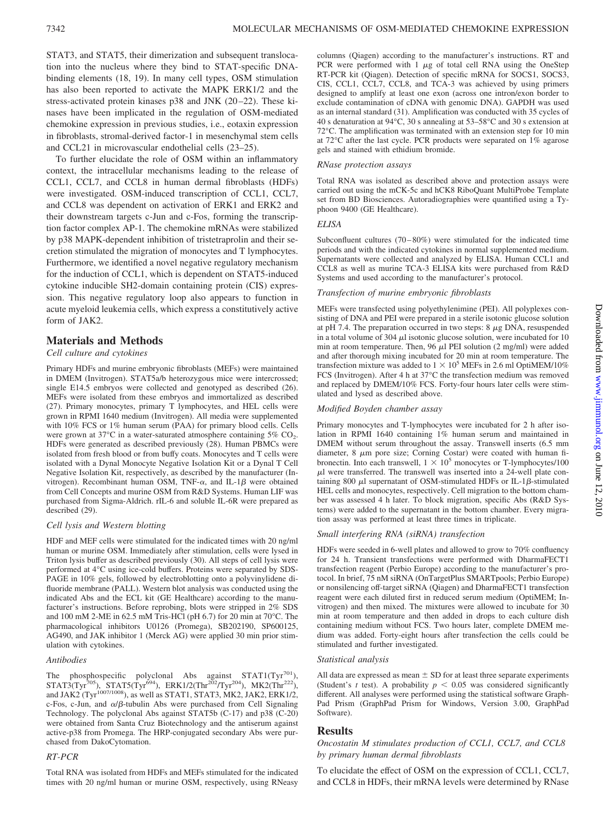STAT3, and STAT5, their dimerization and subsequent translocation into the nucleus where they bind to STAT-specific DNAbinding elements (18, 19). In many cell types, OSM stimulation has also been reported to activate the MAPK ERK1/2 and the stress-activated protein kinases p38 and JNK (20–22). These kinases have been implicated in the regulation of OSM-mediated chemokine expression in previous studies, i.e., eotaxin expression in fibroblasts, stromal-derived factor-1 in mesenchymal stem cells and CCL21 in microvascular endothelial cells (23–25).

To further elucidate the role of OSM within an inflammatory context, the intracellular mechanisms leading to the release of CCL1, CCL7, and CCL8 in human dermal fibroblasts (HDFs) were investigated. OSM-induced transcription of CCL1, CCL7, and CCL8 was dependent on activation of ERK1 and ERK2 and their downstream targets c-Jun and c-Fos, forming the transcription factor complex AP-1. The chemokine mRNAs were stabilized by p38 MAPK-dependent inhibition of tristetraprolin and their secretion stimulated the migration of monocytes and T lymphocytes. Furthermore, we identified a novel negative regulatory mechanism for the induction of CCL1, which is dependent on STAT5-induced cytokine inducible SH2-domain containing protein (CIS) expression. This negative regulatory loop also appears to function in acute myeloid leukemia cells, which express a constitutively active form of JAK2.

# **Materials and Methods**

#### *Cell culture and cytokines*

Primary HDFs and murine embryonic fibroblasts (MEFs) were maintained in DMEM (Invitrogen). STAT5a/b heterozygous mice were intercrossed; single E14.5 embryos were collected and genotyped as described (26). MEFs were isolated from these embryos and immortalized as described (27). Primary monocytes, primary T lymphocytes, and HEL cells were grown in RPMI 1640 medium (Invitrogen). All media were supplemented with 10% FCS or 1% human serum (PAA) for primary blood cells. Cells were grown at  $37^{\circ}$ C in a water-saturated atmosphere containing  $5\%$  CO<sub>2</sub>. HDFs were generated as described previously (28). Human PBMCs were isolated from fresh blood or from buffy coats. Monocytes and T cells were isolated with a Dynal Monocyte Negative Isolation Kit or a Dynal T Cell Negative Isolation Kit, respectively, as described by the manufacturer (Invitrogen). Recombinant human OSM, TNF- $\alpha$ , and IL-1 $\beta$  were obtained from Cell Concepts and murine OSM from R&D Systems. Human LIF was purchased from Sigma-Aldrich. rIL-6 and soluble IL-6R were prepared as described (29).

#### *Cell lysis and Western blotting*

HDF and MEF cells were stimulated for the indicated times with 20 ng/ml human or murine OSM. Immediately after stimulation, cells were lysed in Triton lysis buffer as described previously (30). All steps of cell lysis were performed at 4°C using ice-cold buffers. Proteins were separated by SDS-PAGE in 10% gels, followed by electroblotting onto a polyvinylidene difluoride membrane (PALL). Western blot analysis was conducted using the indicated Abs and the ECL kit (GE Healthcare) according to the manufacturer's instructions. Before reprobing, blots were stripped in 2% SDS and 100 mM 2-ME in 62.5 mM Tris-HCl (pH 6.7) for 20 min at 70°C. The pharmacological inhibitors U0126 (Promega), SB202190, SP600125, AG490, and JAK inhibitor 1 (Merck AG) were applied 30 min prior stimulation with cytokines.

#### *Antibodies*

The phosphospecific polyclonal Abs against  $STAT1(Tyr^{701})$ ,  $STAT3(Tyr^{705})$ ,  $STAT5(Tyr^{694})$ ,  $ERK1/2(Thr^{202}/Tyr^{204})$ ,  $MK2(Thr^{222})$ , and JAK2 (Tyr<sup>1007/1008</sup>), as well as STAT1, STAT3, MK2, JAK2, ERK1/2, c-Fos, c-Jun, and  $\alpha/\beta$ -tubulin Abs were purchased from Cell Signaling Technology. The polyclonal Abs against STAT5b (C-17) and p38 (C-20) were obtained from Santa Cruz Biotechnology and the antiserum against active-p38 from Promega. The HRP-conjugated secondary Abs were purchased from DakoCytomation.

#### *RT-PCR*

Total RNA was isolated from HDFs and MEFs stimulated for the indicated times with 20 ng/ml human or murine OSM, respectively, using RNeasy columns (Qiagen) according to the manufacturer's instructions. RT and PCR were performed with  $1 \mu g$  of total cell RNA using the OneStep RT-PCR kit (Qiagen). Detection of specific mRNA for SOCS1, SOCS3, CIS, CCL1, CCL7, CCL8, and TCA-3 was achieved by using primers designed to amplify at least one exon (across one intron/exon border to exclude contamination of cDNA with genomic DNA). GAPDH was used as an internal standard (31). Amplification was conducted with 35 cycles of 40 s denaturation at 94°C, 30 s annealing at 53–58°C and 30 s extension at 72°C. The amplification was terminated with an extension step for 10 min at 72°C after the last cycle. PCR products were separated on 1% agarose gels and stained with ethidium bromide.

#### *RNase protection assays*

Total RNA was isolated as described above and protection assays were carried out using the mCK-5c and hCK8 RiboQuant MultiProbe Template set from BD Biosciences. Autoradiographies were quantified using a Typhoon 9400 (GE Healthcare).

#### *ELISA*

Subconfluent cultures (70–80%) were stimulated for the indicated time periods and with the indicated cytokines in normal supplemented medium. Supernatants were collected and analyzed by ELISA. Human CCL1 and CCL8 as well as murine TCA-3 ELISA kits were purchased from R&D Systems and used according to the manufacturer's protocol.

#### *Transfection of murine embryonic fibroblasts*

MEFs were transfected using polyethylenimine (PEI). All polyplexes consisting of DNA and PEI were prepared in a sterile isotonic glucose solution at pH 7.4. The preparation occurred in two steps:  $8 \mu g$  DNA, resuspended in a total volume of 304  $\mu$ l isotonic glucose solution, were incubated for 10 min at room temperature. Then, 96  $\mu$ l PEI solution (2 mg/ml) were added and after thorough mixing incubated for 20 min at room temperature. The transfection mixture was added to  $1 \times 10^5$  MEFs in 2.6 ml OptiMEM/10% FCS (Invitrogen). After 4 h at 37°C the transfection medium was removed and replaced by DMEM/10% FCS. Forty-four hours later cells were stimulated and lysed as described above.

#### *Modified Boyden chamber assay*

Primary monocytes and T-lymphocytes were incubated for 2 h after isolation in RPMI 1640 containing 1% human serum and maintained in DMEM without serum throughout the assay. Transwell inserts (6.5 mm diameter,  $8 \mu m$  pore size; Corning Costar) were coated with human fibronectin. Into each transwell,  $1 \times 10^5$  monocytes or T-lymphocytes/100  $\mu$ l were transferred. The transwell was inserted into a 24-well plate containing 800  $\mu$ l supernatant of OSM-stimulated HDFs or IL-1 $\beta$ -stimulated HEL cells and monocytes, respectively. Cell migration to the bottom chamber was assessed 4 h later. To block migration, specific Abs (R&D Systems) were added to the supernatant in the bottom chamber. Every migration assay was performed at least three times in triplicate.

# *Small interfering RNA (siRNA) transfection*

HDFs were seeded in 6-well plates and allowed to grow to 70% confluency for 24 h. Transient transfections were performed with DharmaFECT1 transfection reagent (Perbio Europe) according to the manufacturer's protocol. In brief, 75 nM siRNA (OnTargetPlus SMARTpools; Perbio Europe) or nonsilencing off-target siRNA (Qiagen) and DharmaFECT1 transfection reagent were each diluted first in reduced serum medium (OptiMEM; Invitrogen) and then mixed. The mixtures were allowed to incubate for 30 min at room temperature and then added in drops to each culture dish containing medium without FCS. Two hours later, complete DMEM medium was added. Forty-eight hours after transfection the cells could be stimulated and further investigated.

#### *Statistical analysis*

All data are expressed as mean  $\pm$  SD for at least three separate experiments (Student's *t* test). A probability  $p < 0.05$  was considered significantly different. All analyses were performed using the statistical software Graph-Pad Prism (GraphPad Prism for Windows, Version 3.00, GraphPad Software).

#### **Results**

*Oncostatin M stimulates production of CCL1, CCL7, and CCL8 by primary human dermal fibroblasts*

To elucidate the effect of OSM on the expression of CCL1, CCL7, and CCL8 in HDFs, their mRNA levels were determined by RNase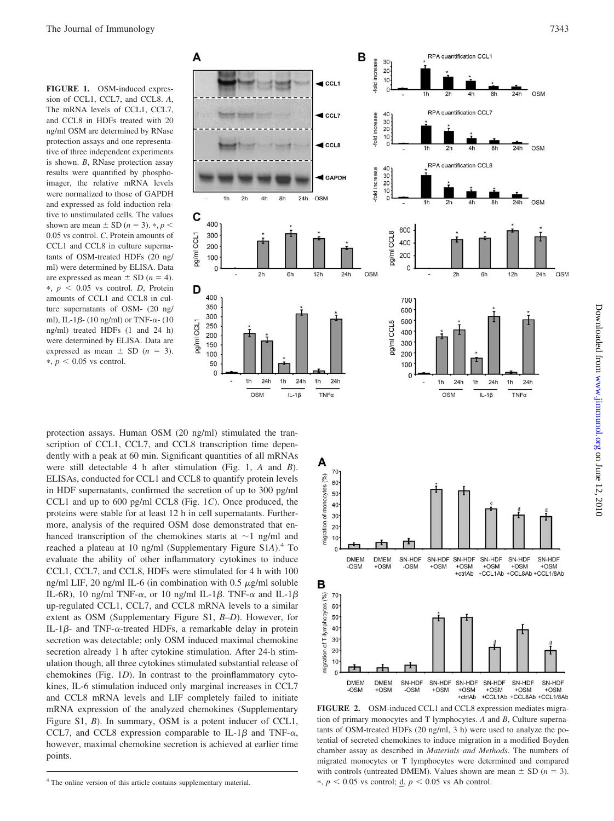**FIGURE 1.** OSM-induced expression of CCL1, CCL7, and CCL8. *A*, The mRNA levels of CCL1, CCL7, and CCL8 in HDFs treated with 20 ng/ml OSM are determined by RNase protection assays and one representative of three independent experiments is shown. *B*, RNase protection assay results were quantified by phosphoimager, the relative mRNA levels were normalized to those of GAPDH and expressed as fold induction relative to unstimulated cells. The values shown are mean  $\pm$  SD ( $n = 3$ ).  $\ast$ ,  $p <$ 0.05 vs control. *C*, Protein amounts of CCL1 and CCL8 in culture supernatants of OSM-treated HDFs (20 ng/ ml) were determined by ELISA. Data are expressed as mean  $\pm$  SD ( $n = 4$ ).  $*, p < 0.05$  vs control. *D*, Protein amounts of CCL1 and CCL8 in culture supernatants of OSM- (20 ng/ ml), IL-1 $\beta$ - (10 ng/ml) or TNF- $\alpha$ - (10 ng/ml) treated HDFs (1 and 24 h) were determined by ELISA. Data are expressed as mean  $\pm$  SD ( $n = 3$ ).  $\ast$ ,  $p < 0.05$  vs control.

protection assays. Human OSM (20 ng/ml) stimulated the transcription of CCL1, CCL7, and CCL8 transcription time dependently with a peak at 60 min. Significant quantities of all mRNAs were still detectable 4 h after stimulation (Fig. 1, *A* and *B*). ELISAs, conducted for CCL1 and CCL8 to quantify protein levels in HDF supernatants, confirmed the secretion of up to 300 pg/ml CCL1 and up to 600 pg/ml CCL8 (Fig. 1*C*). Once produced, the proteins were stable for at least 12 h in cell supernatants. Furthermore, analysis of the required OSM dose demonstrated that enhanced transcription of the chemokines starts at  $\sim$ 1 ng/ml and reached a plateau at 10 ng/ml (Supplementary Figure S1*A*).4 To evaluate the ability of other inflammatory cytokines to induce CCL1, CCL7, and CCL8, HDFs were stimulated for 4 h with 100 ng/ml LIF, 20 ng/ml IL-6 (in combination with  $0.5 \mu$ g/ml soluble IL-6R), 10 ng/ml TNF- $\alpha$ , or 10 ng/ml IL-1 $\beta$ . TNF- $\alpha$  and IL-1 $\beta$ up-regulated CCL1, CCL7, and CCL8 mRNA levels to a similar extent as OSM (Supplementary Figure S1, *B–D*). However, for IL-1 $\beta$ - and TNF- $\alpha$ -treated HDFs, a remarkable delay in protein secretion was detectable; only OSM induced maximal chemokine secretion already 1 h after cytokine stimulation. After 24-h stimulation though, all three cytokines stimulated substantial release of chemokines (Fig. 1*D*). In contrast to the proinflammatory cytokines, IL-6 stimulation induced only marginal increases in CCL7 and CCL8 mRNA levels and LIF completely failed to initiate mRNA expression of the analyzed chemokines (Supplementary Figure S1, *B*). In summary, OSM is a potent inducer of CCL1, CCL7, and CCL8 expression comparable to IL-1 $\beta$  and TNF- $\alpha$ , however, maximal chemokine secretion is achieved at earlier time points.







**FIGURE 2.** OSM-induced CCL1 and CCL8 expression mediates migration of primary monocytes and T lymphocytes. *A* and *B*, Culture supernatants of OSM-treated HDFs (20 ng/ml, 3 h) were used to analyze the potential of secreted chemokines to induce migration in a modified Boyden chamber assay as described in *Materials and Methods*. The numbers of migrated monocytes or T lymphocytes were determined and compared with controls (untreated DMEM). Values shown are mean  $\pm$  SD ( $n = 3$ ).  $*, p < 0.05$  vs control; <u>d</u>,  $p < 0.05$  vs Ab control.

<sup>&</sup>lt;sup>4</sup> The online version of this article contains supplementary material.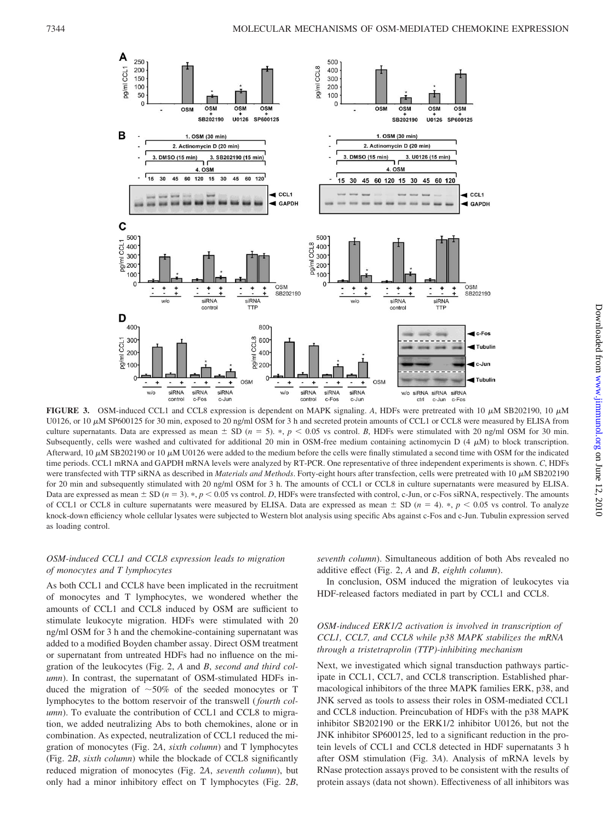

**FIGURE 3.** OSM-induced CCL1 and CCL8 expression is dependent on MAPK signaling. A, HDFs were pretreated with 10  $\mu$ M SB202190, 10  $\mu$ M U0126, or 10 μM SP600125 for 30 min, exposed to 20 ng/ml OSM for 3 h and secreted protein amounts of CCL1 or CCL8 were measured by ELISA from culture supernatants. Data are expressed as mean  $\pm$  SD ( $n = 5$ ).  $\ast$ ,  $p < 0.05$  vs control. *B*, HDFs were stimulated with 20 ng/ml OSM for 30 min. Subsequently, cells were washed and cultivated for additional 20 min in OSM-free medium containing actinomycin D  $(4 \mu M)$  to block transcription. Afterward, 10  $\mu$ M SB202190 or 10  $\mu$ M U0126 were added to the medium before the cells were finally stimulated a second time with OSM for the indicated time periods. CCL1 mRNA and GAPDH mRNA levels were analyzed by RT-PCR. One representative of three independent experiments is shown. *C*, HDFs were transfected with TTP siRNA as described in *Materials and Methods*. Forty-eight hours after transfection, cells were pretreated with 10  $\mu$ M SB202190 for 20 min and subsequently stimulated with 20 ng/ml OSM for 3 h. The amounts of CCL1 or CCL8 in culture supernatants were measured by ELISA. Data are expressed as mean  $\pm$  SD ( $n = 3$ ).  $\ast$ ,  $p < 0.05$  vs control. *D*, HDFs were transfected with control, c-Jun, or c-Fos siRNA, respectively. The amounts of CCL1 or CCL8 in culture supernatants were measured by ELISA. Data are expressed as mean  $\pm$  SD ( $n = 4$ ).  $\ast$ ,  $p < 0.05$  vs control. To analyze knock-down efficiency whole cellular lysates were subjected to Western blot analysis using specific Abs against c-Fos and c-Jun. Tubulin expression served as loading control.

# *OSM-induced CCL1 and CCL8 expression leads to migration of monocytes and T lymphocytes*

As both CCL1 and CCL8 have been implicated in the recruitment of monocytes and T lymphocytes, we wondered whether the amounts of CCL1 and CCL8 induced by OSM are sufficient to stimulate leukocyte migration. HDFs were stimulated with 20 ng/ml OSM for 3 h and the chemokine-containing supernatant was added to a modified Boyden chamber assay. Direct OSM treatment or supernatant from untreated HDFs had no influence on the migration of the leukocytes (Fig. 2, *A* and *B*, *second and third column*). In contrast, the supernatant of OSM-stimulated HDFs induced the migration of  $~50\%$  of the seeded monocytes or T lymphocytes to the bottom reservoir of the transwell (*fourth column*). To evaluate the contribution of CCL1 and CCL8 to migration, we added neutralizing Abs to both chemokines, alone or in combination. As expected, neutralization of CCL1 reduced the migration of monocytes (Fig. 2*A*, *sixth column*) and T lymphocytes (Fig. 2*B*, *sixth column*) while the blockade of CCL8 significantly reduced migration of monocytes (Fig. 2*A*, *seventh column*), but only had a minor inhibitory effect on T lymphocytes (Fig. 2*B*, *seventh column*). Simultaneous addition of both Abs revealed no additive effect (Fig. 2, *A* and *B*, *eighth column*).

In conclusion, OSM induced the migration of leukocytes via HDF-released factors mediated in part by CCL1 and CCL8.

# *OSM-induced ERK1/2 activation is involved in transcription of CCL1, CCL7, and CCL8 while p38 MAPK stabilizes the mRNA through a tristetraprolin (TTP)-inhibiting mechanism*

Next, we investigated which signal transduction pathways participate in CCL1, CCL7, and CCL8 transcription. Established pharmacological inhibitors of the three MAPK families ERK, p38, and JNK served as tools to assess their roles in OSM-mediated CCL1 and CCL8 induction. Preincubation of HDFs with the p38 MAPK inhibitor SB202190 or the ERK1/2 inhibitor U0126, but not the JNK inhibitor SP600125, led to a significant reduction in the protein levels of CCL1 and CCL8 detected in HDF supernatants 3 h after OSM stimulation (Fig. 3*A*). Analysis of mRNA levels by RNase protection assays proved to be consistent with the results of protein assays (data not shown). Effectiveness of all inhibitors was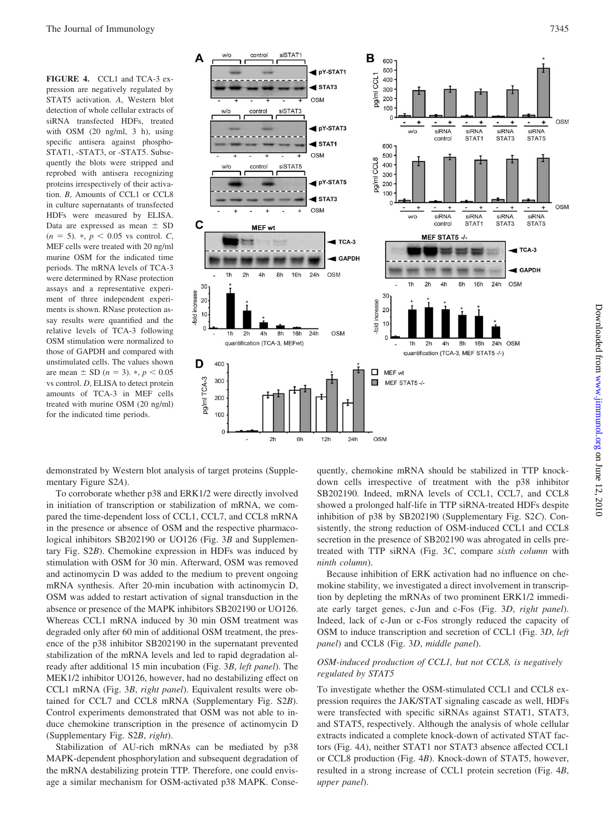**FIGURE 4.** CCL1 and TCA-3 expression are negatively regulated by STAT5 activation. *A*, Western blot detection of whole cellular extracts of siRNA transfected HDFs, treated with OSM (20 ng/ml, 3 h), using specific antisera against phospho-STAT1, -STAT3, or -STAT5. Subsequently the blots were stripped and reprobed with antisera recognizing proteins irrespectively of their activation. *B*, Amounts of CCL1 or CCL8 in culture supernatants of transfected HDFs were measured by ELISA. Data are expressed as mean  $\pm$  SD  $(n = 5)$ . \*,  $p < 0.05$  vs control. *C*, MEF cells were treated with 20 ng/ml murine OSM for the indicated time periods. The mRNA levels of TCA-3 were determined by RNase protection assays and a representative experiment of three independent experiments is shown. RNase protection assay results were quantified and the relative levels of TCA-3 following OSM stimulation were normalized to those of GAPDH and compared with unstimulated cells. The values shown are mean  $\pm$  SD (*n* = 3).  $\ast$ , *p* < 0.05 vs control. *D*, ELISA to detect protein amounts of TCA-3 in MEF cells treated with murine OSM (20 ng/ml) for the indicated time periods.



demonstrated by Western blot analysis of target proteins (Supplementary Figure S2*A*).

To corroborate whether p38 and ERK1/2 were directly involved in initiation of transcription or stabilization of mRNA, we compared the time-dependent loss of CCL1, CCL7, and CCL8 mRNA in the presence or absence of OSM and the respective pharmacological inhibitors SB202190 or UO126 (Fig. 3*B* and Supplementary Fig. S2*B*). Chemokine expression in HDFs was induced by stimulation with OSM for 30 min. Afterward, OSM was removed and actinomycin D was added to the medium to prevent ongoing mRNA synthesis. After 20-min incubation with actinomycin D, OSM was added to restart activation of signal transduction in the absence or presence of the MAPK inhibitors SB202190 or UO126. Whereas CCL1 mRNA induced by 30 min OSM treatment was degraded only after 60 min of additional OSM treatment, the presence of the p38 inhibitor SB202190 in the supernatant prevented stabilization of the mRNA levels and led to rapid degradation already after additional 15 min incubation (Fig. 3*B*, *left panel*). The MEK1/2 inhibitor UO126, however, had no destabilizing effect on CCL1 mRNA (Fig. 3*B*, *right panel*). Equivalent results were obtained for CCL7 and CCL8 mRNA (Supplementary Fig. S2*B*). Control experiments demonstrated that OSM was not able to induce chemokine transcription in the presence of actinomycin D (Supplementary Fig. S2*B*, *right*).

Stabilization of AU-rich mRNAs can be mediated by p38 MAPK-dependent phosphorylation and subsequent degradation of the mRNA destabilizing protein TTP. Therefore, one could envisage a similar mechanism for OSM-activated p38 MAPK. Conse-

quently, chemokine mRNA should be stabilized in TTP knockdown cells irrespective of treatment with the p38 inhibitor SB202190. Indeed, mRNA levels of CCL1, CCL7, and CCL8 showed a prolonged half-life in TTP siRNA-treated HDFs despite inhibition of p38 by SB202190 (Supplementary Fig. S2*C*). Consistently, the strong reduction of OSM-induced CCL1 and CCL8 secretion in the presence of SB202190 was abrogated in cells pretreated with TTP siRNA (Fig. 3*C*, compare *sixth column* with *ninth column*).

Because inhibition of ERK activation had no influence on chemokine stability, we investigated a direct involvement in transcription by depleting the mRNAs of two prominent ERK1/2 immediate early target genes, c-Jun and c-Fos (Fig. 3*D*, *right panel*). Indeed, lack of c-Jun or c-Fos strongly reduced the capacity of OSM to induce transcription and secretion of CCL1 (Fig. 3*D*, *left panel*) and CCL8 (Fig. 3*D*, *middle panel*).

# *OSM-induced production of CCL1, but not CCL8, is negatively regulated by STAT5*

To investigate whether the OSM-stimulated CCL1 and CCL8 expression requires the JAK/STAT signaling cascade as well, HDFs were transfected with specific siRNAs against STAT1, STAT3, and STAT5, respectively. Although the analysis of whole cellular extracts indicated a complete knock-down of activated STAT factors (Fig. 4*A*), neither STAT1 nor STAT3 absence affected CCL1 or CCL8 production (Fig. 4*B*). Knock-down of STAT5, however, resulted in a strong increase of CCL1 protein secretion (Fig. 4*B*, *upper panel*).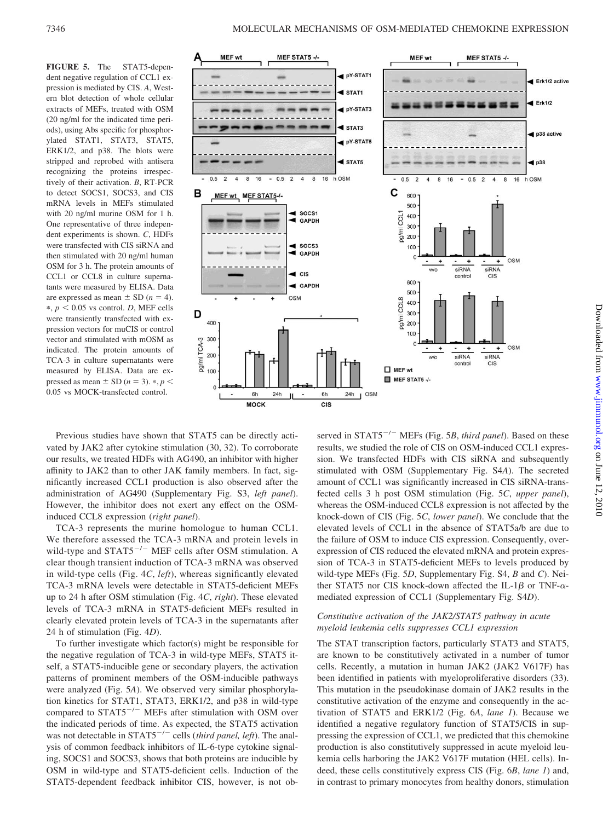**FIGURE 5.** The STAT5-dependent negative regulation of CCL1 expression is mediated by CIS. *A*, Western blot detection of whole cellular extracts of MEFs, treated with OSM (20 ng/ml for the indicated time periods), using Abs specific for phosphorylated STAT1, STAT3, STAT5, ERK1/2, and p38. The blots were stripped and reprobed with antisera recognizing the proteins irrespectively of their activation. *B*, RT-PCR to detect SOCS1, SOCS3, and CIS mRNA levels in MEFs stimulated with 20 ng/ml murine OSM for 1 h. One representative of three independent experiments is shown. *C*, HDFs were transfected with CIS siRNA and then stimulated with 20 ng/ml human OSM for 3 h. The protein amounts of CCL1 or CCL8 in culture supernatants were measured by ELISA. Data are expressed as mean  $\pm$  SD ( $n = 4$ ).  $*, p < 0.05$  vs control. *D*, MEF cells were transiently transfected with expression vectors for muCIS or control vector and stimulated with mOSM as indicated. The protein amounts of TCA-3 in culture supernatants were measured by ELISA. Data are expressed as mean  $\pm$  SD ( $n = 3$ ).  $\ast$ ,  $p <$ 0.05 vs MOCK-transfected control.



Previous studies have shown that STAT5 can be directly activated by JAK2 after cytokine stimulation (30, 32). To corroborate our results, we treated HDFs with AG490, an inhibitor with higher affinity to JAK2 than to other JAK family members. In fact, significantly increased CCL1 production is also observed after the administration of AG490 (Supplementary Fig. S3, *left panel*). However, the inhibitor does not exert any effect on the OSMinduced CCL8 expression (*right panel*).

TCA-3 represents the murine homologue to human CCL1. We therefore assessed the TCA-3 mRNA and protein levels in wild-type and  $STAT5^{-/-}$  MEF cells after OSM stimulation. A clear though transient induction of TCA-3 mRNA was observed in wild-type cells (Fig. 4*C*, *left*), whereas significantly elevated TCA-3 mRNA levels were detectable in STAT5-deficient MEFs up to 24 h after OSM stimulation (Fig. 4*C*, *right*). These elevated levels of TCA-3 mRNA in STAT5-deficient MEFs resulted in clearly elevated protein levels of TCA-3 in the supernatants after 24 h of stimulation (Fig. 4*D*).

To further investigate which factor(s) might be responsible for the negative regulation of TCA-3 in wild-type MEFs, STAT5 itself, a STAT5-inducible gene or secondary players, the activation patterns of prominent members of the OSM-inducible pathways were analyzed (Fig. 5*A*). We observed very similar phosphorylation kinetics for STAT1, STAT3, ERK1/2, and p38 in wild-type compared to  $STAT5^{-/-}$  MEFs after stimulation with OSM over the indicated periods of time. As expected, the STAT5 activation was not detectable in STAT5<sup>-/-</sup> cells (*third panel, left*). The analysis of common feedback inhibitors of IL-6-type cytokine signaling, SOCS1 and SOCS3, shows that both proteins are inducible by OSM in wild-type and STAT5-deficient cells. Induction of the STAT5-dependent feedback inhibitor CIS, however, is not observed in STAT5<sup>-/-</sup> MEFs (Fig. 5*B*, *third panel*). Based on these results, we studied the role of CIS on OSM-induced CCL1 expression. We transfected HDFs with CIS siRNA and subsequently stimulated with OSM (Supplementary Fig. S4*A*). The secreted amount of CCL1 was significantly increased in CIS siRNA-transfected cells 3 h post OSM stimulation (Fig. 5*C*, *upper panel*), whereas the OSM-induced CCL8 expression is not affected by the knock-down of CIS (Fig. 5*C*, *lower panel*). We conclude that the elevated levels of CCL1 in the absence of STAT5a/b are due to the failure of OSM to induce CIS expression. Consequently, overexpression of CIS reduced the elevated mRNA and protein expression of TCA-3 in STAT5-deficient MEFs to levels produced by wild-type MEFs (Fig. 5*D*, Supplementary Fig. S4, *B* and *C*). Neither STAT5 nor CIS knock-down affected the IL-1 $\beta$  or TNF- $\alpha$ mediated expression of CCL1 (Supplementary Fig. S4*D*).

### *Constitutive activation of the JAK2/STAT5 pathway in acute myeloid leukemia cells suppresses CCL1 expression*

The STAT transcription factors, particularly STAT3 and STAT5, are known to be constitutively activated in a number of tumor cells. Recently, a mutation in human JAK2 (JAK2 V617F) has been identified in patients with myeloproliferative disorders (33). This mutation in the pseudokinase domain of JAK2 results in the constitutive activation of the enzyme and consequently in the activation of STAT5 and ERK1/2 (Fig. 6*A*, *lane 1*). Because we identified a negative regulatory function of STAT5/CIS in suppressing the expression of CCL1, we predicted that this chemokine production is also constitutively suppressed in acute myeloid leukemia cells harboring the JAK2 V617F mutation (HEL cells). Indeed, these cells constitutively express CIS (Fig. 6*B*, *lane 1*) and, in contrast to primary monocytes from healthy donors, stimulation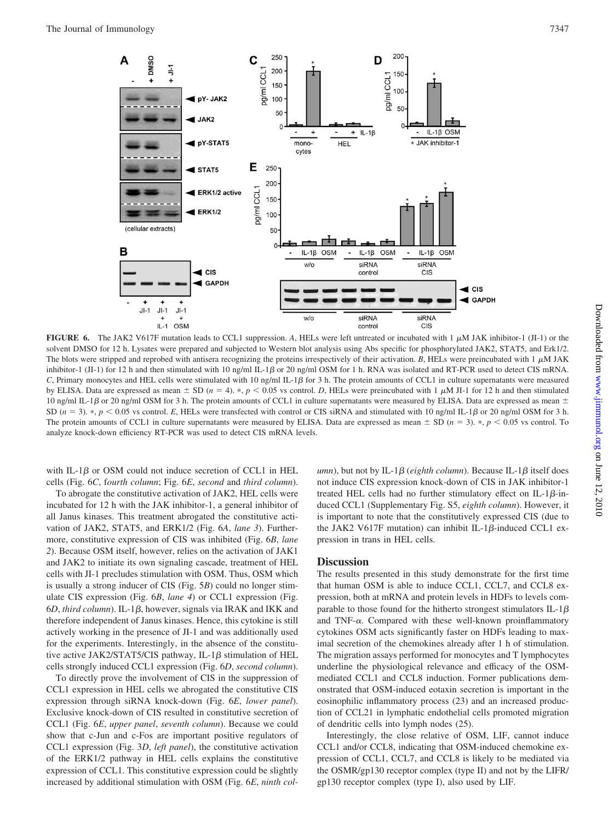

**FIGURE 6.** The JAK2 V617F mutation leads to CCL1 suppression. A, HELs were left untreated or incubated with 1  $\mu$ M JAK inhibitor-1 (JI-1) or the solvent DMSO for 12 h. Lysates were prepared and subjected to Western blot analysis using Abs specific for phosphorylated JAK2, STAT5, and Erk1/2. The blots were stripped and reprobed with antisera recognizing the proteins irrespectively of their activation. *B*, HELs were preincubated with 1  $\mu$ M JAK inhibitor-1 (JI-1) for 12 h and then stimulated with 10 ng/ml IL-1 $\beta$  or 20 ng/ml OSM for 1 h. RNA was isolated and RT-PCR used to detect CIS mRNA. *C*, Primary monocytes and HEL cells were stimulated with 10 ng/ml IL-1 $\beta$  for 3 h. The protein amounts of CCL1 in culture supernatants were measured by ELISA. Data are expressed as mean  $\pm$  SD ( $n = 4$ ). \*,  $p < 0.05$  vs control. *D*, HELs were preincubated with 1  $\mu$ M JI-1 for 12 h and then stimulated 10 ng/ml IL-1 $\beta$  or 20 ng/ml OSM for 3 h. The protein amounts of CCL1 in culture supernatants were measured by ELISA. Data are expressed as mean  $\pm$ SD ( $n = 3$ ). \*,  $p < 0.05$  vs control. E, HELs were transfected with control or CIS siRNA and stimulated with 10 ng/ml IL-1 $\beta$  or 20 ng/ml OSM for 3 h. The protein amounts of CCL1 in culture supernatants were measured by ELISA. Data are expressed as mean  $\pm$  SD ( $n = 3$ ).  $\ast$ ,  $p < 0.05$  vs control. To analyze knock-down efficiency RT-PCR was used to detect CIS mRNA levels.

with IL-1 $\beta$  or OSM could not induce secretion of CCL1 in HEL cells (Fig. 6*C*, f*ourth column*; Fig. 6*E*, *second* and *third column*).

To abrogate the constitutive activation of JAK2, HEL cells were incubated for 12 h with the JAK inhibitor-1, a general inhibitor of all Janus kinases. This treatment abrogated the constitutive activation of JAK2, STAT5, and ERK1/2 (Fig. 6*A*, *lane 3*). Furthermore, constitutive expression of CIS was inhibited (Fig. 6*B*, *lane 2*). Because OSM itself, however, relies on the activation of JAK1 and JAK2 to initiate its own signaling cascade, treatment of HEL cells with JI-1 precludes stimulation with OSM. Thus, OSM which is usually a strong inducer of CIS (Fig. 5*B*) could no longer stimulate CIS expression (Fig. 6*B*, *lane 4*) or CCL1 expression (Fig.  $6D$ , *third column*). IL-1 $\beta$ , however, signals via IRAK and IKK and therefore independent of Janus kinases. Hence, this cytokine is still actively working in the presence of JI-1 and was additionally used for the experiments. Interestingly, in the absence of the constitutive active JAK2/STAT5/CIS pathway, IL-1 $\beta$  stimulation of HEL cells strongly induced CCL1 expression (Fig. 6*D*, *second column*).

To directly prove the involvement of CIS in the suppression of CCL1 expression in HEL cells we abrogated the constitutive CIS expression through siRNA knock-down (Fig. 6*E*, *lower panel*). Exclusive knock-down of CIS resulted in constitutive secretion of CCL1 (Fig. 6*E*, *upper panel*, *seventh column*). Because we could show that c-Jun and c-Fos are important positive regulators of CCL1 expression (Fig. 3*D*, *left panel*), the constitutive activation of the ERK1/2 pathway in HEL cells explains the constitutive expression of CCL1. This constitutive expression could be slightly increased by additional stimulation with OSM (Fig. 6*E*, *ninth col-*

 $u$ mn), but not by IL-1 $\beta$  (*eighth column*). Because IL-1 $\beta$  itself does not induce CIS expression knock-down of CIS in JAK inhibitor-1 treated HEL cells had no further stimulatory effect on IL-1 $\beta$ -induced CCL1 (Supplementary Fig. S5, *eighth column*). However, it is important to note that the constitutively expressed CIS (due to the JAK2 V617F mutation) can inhibit IL-1 $\beta$ -induced CCL1 expression in trans in HEL cells.

#### **Discussion**

The results presented in this study demonstrate for the first time that human OSM is able to induce CCL1, CCL7, and CCL8 expression, both at mRNA and protein levels in HDFs to levels comparable to those found for the hitherto strongest stimulators IL-1 $\beta$ and TNF- $\alpha$ . Compared with these well-known proinflammatory cytokines OSM acts significantly faster on HDFs leading to maximal secretion of the chemokines already after 1 h of stimulation. The migration assays performed for monocytes and T lymphocytes underline the physiological relevance and efficacy of the OSMmediated CCL1 and CCL8 induction. Former publications demonstrated that OSM-induced eotaxin secretion is important in the eosinophilic inflammatory process (23) and an increased production of CCL21 in lymphatic endothelial cells promoted migration of dendritic cells into lymph nodes (25).

Interestingly, the close relative of OSM, LIF, cannot induce CCL1 and/or CCL8, indicating that OSM-induced chemokine expression of CCL1, CCL7, and CCL8 is likely to be mediated via the OSMR/gp130 receptor complex (type II) and not by the LIFR/ gp130 receptor complex (type I), also used by LIF.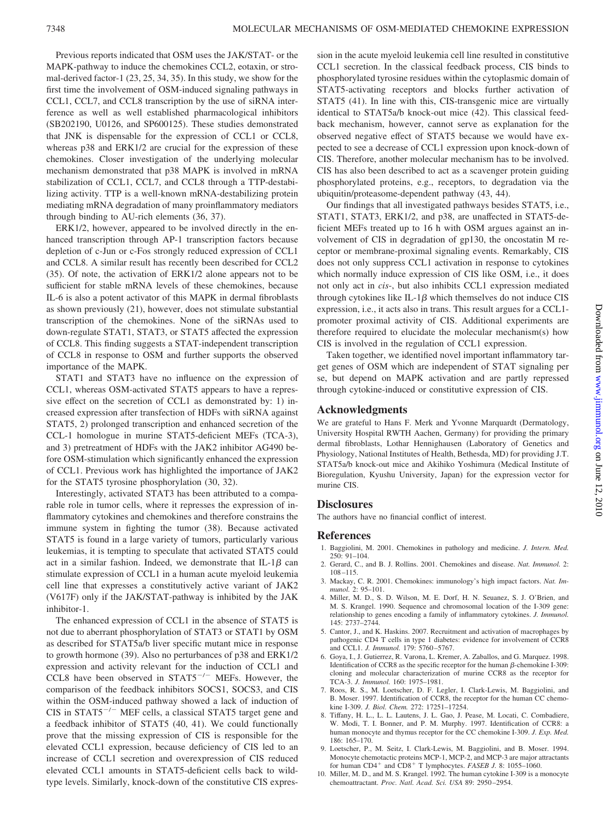Previous reports indicated that OSM uses the JAK/STAT- or the MAPK-pathway to induce the chemokines CCL2, eotaxin, or stromal-derived factor-1 (23, 25, 34, 35). In this study, we show for the first time the involvement of OSM-induced signaling pathways in CCL1, CCL7, and CCL8 transcription by the use of siRNA interference as well as well established pharmacological inhibitors (SB202190, U0126, and SP600125). These studies demonstrated that JNK is dispensable for the expression of CCL1 or CCL8, whereas p38 and ERK1/2 are crucial for the expression of these chemokines. Closer investigation of the underlying molecular mechanism demonstrated that p38 MAPK is involved in mRNA stabilization of CCL1, CCL7, and CCL8 through a TTP-destabilizing activity. TTP is a well-known mRNA-destabilizing protein mediating mRNA degradation of many proinflammatory mediators through binding to AU-rich elements (36, 37).

ERK1/2, however, appeared to be involved directly in the enhanced transcription through AP-1 transcription factors because depletion of c-Jun or c-Fos strongly reduced expression of CCL1 and CCL8. A similar result has recently been described for CCL2 (35). Of note, the activation of ERK1/2 alone appears not to be sufficient for stable mRNA levels of these chemokines, because IL-6 is also a potent activator of this MAPK in dermal fibroblasts as shown previously (21), however, does not stimulate substantial transcription of the chemokines. None of the siRNAs used to down-regulate STAT1, STAT3, or STAT5 affected the expression of CCL8. This finding suggests a STAT-independent transcription of CCL8 in response to OSM and further supports the observed importance of the MAPK.

STAT1 and STAT3 have no influence on the expression of CCL1, whereas OSM-activated STAT5 appears to have a repressive effect on the secretion of CCL1 as demonstrated by: 1) increased expression after transfection of HDFs with siRNA against STAT5, 2) prolonged transcription and enhanced secretion of the CCL-1 homologue in murine STAT5-deficient MEFs (TCA-3), and 3) pretreatment of HDFs with the JAK2 inhibitor AG490 before OSM-stimulation which significantly enhanced the expression of CCL1. Previous work has highlighted the importance of JAK2 for the STAT5 tyrosine phosphorylation (30, 32).

Interestingly, activated STAT3 has been attributed to a comparable role in tumor cells, where it represses the expression of inflammatory cytokines and chemokines and therefore constrains the immune system in fighting the tumor (38). Because activated STAT5 is found in a large variety of tumors, particularly various leukemias, it is tempting to speculate that activated STAT5 could act in a similar fashion. Indeed, we demonstrate that  $IL-1\beta$  can stimulate expression of CCL1 in a human acute myeloid leukemia cell line that expresses a constitutively active variant of JAK2 (V617F) only if the JAK/STAT-pathway is inhibited by the JAK inhibitor-1.

The enhanced expression of CCL1 in the absence of STAT5 is not due to aberrant phosphorylation of STAT3 or STAT1 by OSM as described for STAT5a/b liver specific mutant mice in response to growth hormone (39). Also no perturbances of p38 and ERK1/2 expression and activity relevant for the induction of CCL1 and CCL8 have been observed in  $STAT5^{-/-}$  MEFs. However, the comparison of the feedback inhibitors SOCS1, SOCS3, and CIS within the OSM-induced pathway showed a lack of induction of CIS in  $STAT5^{-/-}$  MEF cells, a classical STAT5 target gene and a feedback inhibitor of STAT5 (40, 41). We could functionally prove that the missing expression of CIS is responsible for the elevated CCL1 expression, because deficiency of CIS led to an increase of CCL1 secretion and overexpression of CIS reduced elevated CCL1 amounts in STAT5-deficient cells back to wildtype levels. Similarly, knock-down of the constitutive CIS expression in the acute myeloid leukemia cell line resulted in constitutive CCL1 secretion. In the classical feedback process, CIS binds to phosphorylated tyrosine residues within the cytoplasmic domain of STAT5-activating receptors and blocks further activation of STAT5 (41). In line with this, CIS-transgenic mice are virtually identical to STAT5a/b knock-out mice (42). This classical feedback mechanism, however, cannot serve as explanation for the observed negative effect of STAT5 because we would have expected to see a decrease of CCL1 expression upon knock-down of CIS. Therefore, another molecular mechanism has to be involved. CIS has also been described to act as a scavenger protein guiding phosphorylated proteins, e.g., receptors, to degradation via the ubiquitin/proteasome-dependent pathway (43, 44).

Our findings that all investigated pathways besides STAT5, i.e., STAT1, STAT3, ERK1/2, and p38, are unaffected in STAT5-deficient MEFs treated up to 16 h with OSM argues against an involvement of CIS in degradation of gp130, the oncostatin M receptor or membrane-proximal signaling events. Remarkably, CIS does not only suppress CCL1 activation in response to cytokines which normally induce expression of CIS like OSM, i.e., it does not only act in *cis*-, but also inhibits CCL1 expression mediated through cytokines like IL-1 $\beta$  which themselves do not induce CIS expression, i.e., it acts also in trans. This result argues for a CCL1 promoter proximal activity of CIS. Additional experiments are therefore required to elucidate the molecular mechanism(s) how CIS is involved in the regulation of CCL1 expression.

Taken together, we identified novel important inflammatory target genes of OSM which are independent of STAT signaling per se, but depend on MAPK activation and are partly repressed through cytokine-induced or constitutive expression of CIS.

#### **Acknowledgments**

We are grateful to Hans F. Merk and Yvonne Marquardt (Dermatology, University Hospital RWTH Aachen, Germany) for providing the primary dermal fibroblasts, Lothar Hennighausen (Laboratory of Genetics and Physiology, National Institutes of Health, Bethesda, MD) for providing J.T. STAT5a/b knock-out mice and Akihiko Yoshimura (Medical Institute of Bioregulation, Kyushu University, Japan) for the expression vector for murine CIS.

# **Disclosures**

The authors have no financial conflict of interest.

#### **References**

- 1. Baggiolini, M. 2001. Chemokines in pathology and medicine. *J. Intern. Med.*  $250 \cdot 91 - 104$
- 2. Gerard, C., and B. J. Rollins. 2001. Chemokines and disease. *Nat. Immunol.* 2: 108–115.
- 3. Mackay, C. R. 2001. Chemokines: immunology's high impact factors. *Nat. Immunol.* 2: 95–101.
- 4. Miller, M. D., S. D. Wilson, M. E. Dorf, H. N. Seuanez, S. J. O'Brien, and M. S. Krangel. 1990. Sequence and chromosomal location of the I-309 gene: relationship to genes encoding a family of inflammatory cytokines. *J. Immunol.* 145: 2737–2744.
- 5. Cantor, J., and K. Haskins. 2007. Recruitment and activation of macrophages by pathogenic CD4 T cells in type 1 diabetes: evidence for involvement of CCR8 and CCL1. *J. Immunol.* 179: 5760–5767.
- 6. Goya, I., J. Gutierrez, R. Varona, L. Kremer, A. Zaballos, and G. Marquez. 1998. Identification of CCR8 as the specific receptor for the human  $\beta$ -chemokine I-309: cloning and molecular characterization of murine CCR8 as the receptor for TCA-3. *J. Immunol.* 160: 1975–1981.
- 7. Roos, R. S., M. Loetscher, D. F. Legler, I. Clark-Lewis, M. Baggiolini, and B. Moser. 1997. Identification of CCR8, the receptor for the human CC chemokine I-309. *J. Biol. Chem.* 272: 17251–17254.
- 8. Tiffany, H. L., L. L. Lautens, J. L. Gao, J. Pease, M. Locati, C. Combadiere, W. Modi, T. I. Bonner, and P. M. Murphy. 1997. Identification of CCR8: a human monocyte and thymus receptor for the CC chemokine I-309. *J. Exp. Med.* 186: 165–170.
- 9. Loetscher, P., M. Seitz, I. Clark-Lewis, M. Baggiolini, and B. Moser. 1994. Monocyte chemotactic proteins MCP-1, MCP-2, and MCP-3 are major attractants for human CD4<sup>+</sup> and CD8<sup>+</sup> T lymphocytes. *FASEB J.* 8: 1055-1060.
- 10. Miller, M. D., and M. S. Krangel. 1992. The human cytokine I-309 is a monocyte chemoattractant. *Proc. Natl. Acad. Sci. USA* 89: 2950–2954.